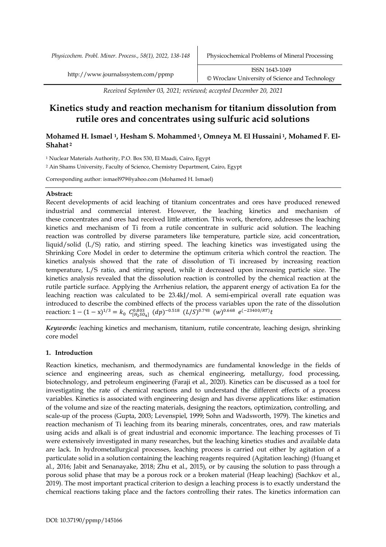*Physicochem. Probl. Miner. Process., 58(1), 2022, 138-148* Physicochemical Problems of Mineral Processing

*Received September 03, 2021; reviewed; accepted December 20, 2021*

# **Kinetics study and reaction mechanism for titanium dissolution from rutile ores and concentrates using sulfuric acid solutions**

# **Mohamed H. Ismael 1, Hesham S. Mohammed1, Omneya M. El Hussaini 1, Mohamed F. El-Shahat <sup>2</sup>**

<sup>1</sup> Nuclear Materials Authority, P.O. Box 530, El Maadi, Cairo, Egypt

<sup>2</sup> Ain Shams University, Faculty of Science, Chemistry Department, Cairo, Egypt

Corresponding author: ismael979@yahoo.com (Mohamed H. Ismael)

# **Abstract:**

Recent developments of acid leaching of titanium concentrates and ores have produced renewed industrial and commercial interest. However, the leaching kinetics and mechanism of these concentrates and ores had received little attention. This work, therefore, addresses the leaching kinetics and mechanism of Ti from a rutile concentrate in sulfuric acid solution. The leaching reaction was controlled by diverse parameters like temperature, particle size, acid concentration, liquid/solid (L/S) ratio, and stirring speed. The leaching kinetics was investigated using the Shrinking Core Model in order to determine the optimum criteria which control the reaction. The kinetics analysis showed that the rate of dissolution of Ti increased by increasing reaction temperature, L/S ratio, and stirring speed, while it decreased upon increasing particle size. The kinetics analysis revealed that the dissolution reaction is controlled by the chemical reaction at the rutile particle surface. Applying the Arrhenius relation, the apparent energy of activation Ea for the leaching reaction was calculated to be 23.4kJ/mol. A semi-empirical overall rate equation was introduced to describe the combined effects of the process variables upon the rate of the dissolution reaction: 1 –  $(1-x)^{1/3} = k_0 C_{[H_2SO_4]}^{0.803} (dp)^{-0.518} (L/S)^{0.793} (w)^{0.668} e^{(-23400/RT)}t$ 

*Keywords: l*eaching kinetics and mechanism, titanium, rutile concentrate, leaching design, shrinking core model

# **1. Introduction**

Reaction kinetics, mechanism, and thermodynamics are fundamental knowledge in the fields of science and engineering areas, such as chemical engineering, metallurgy, food processing, biotechnology, and petroleum engineering (Faraji et al., 2020). Kinetics can be discussed as a tool for investigating the rate of chemical reactions and to understand the different effects of a process variables. Kinetics is associated with engineering design and has diverse applications like: estimation of the volume and size of the reacting materials, designing the reactors, optimization, controlling, and scale-up of the process (Gupta, 2003; Levenspiel, 1999; Sohn and Wadsworth, 1979). The kinetics and reaction mechanism of Ti leaching from its bearing minerals, concentrates, ores, and raw materials using acids and alkali is of great industrial and economic importance. The leaching processes of Ti were extensively investigated in many researches, but the leaching kinetics studies and available data are lack. In hydrometallurgical processes, leaching process is carried out either by agitation of a particulate solid in a solution containing the leaching reagents required (Agitation leaching) (Huang et al., 2016; Jabit and Senanayake, 2018; Zhu et al., 2015), or by causing the solution to pass through a porous solid phase that may be a porous rock or a broken material (Heap leaching) (Sachkov et al., 2019). The most important practical criterion to design a leaching process is to exactly understand the chemical reactions taking place and the factors controlling their rates. The kinetics information can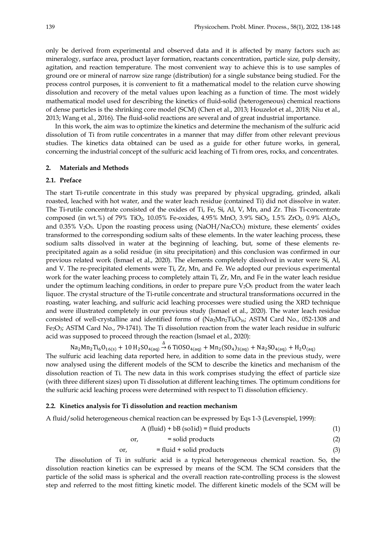only be derived from experimental and observed data and it is affected by many factors such as: mineralogy, surface area, product layer formation, reactants concentration, particle size, pulp density, agitation, and reaction temperature. The most convenient way to achieve this is to use samples of ground ore or mineral of narrow size range (distribution) for a single substance being studied. For the process control purposes, it is convenient to fit a mathematical model to the relation curve showing dissolution and recovery of the metal values upon leaching as a function of time. The most widely mathematical model used for describing the kinetics of fluid-solid (heterogeneous) chemical reactions of dense particles is the shrinking core model (SCM) (Chen et al., 2013; Houzelot et al., 2018; Niu et al., 2013; Wang et al., 2016). The fluid-solid reactions are several and of great industrial importance.

In this work, the aim was to optimize the kinetics and determine the mechanism of the sulfuric acid dissolution of Ti from rutile concentrates in a manner that may differ from other relevant previous studies. The kinetics data obtained can be used as a guide for other future works, in general, concerning the industrial concept of the sulfuric acid leaching of Ti from ores, rocks, and concentrates.

#### **2. Materials and Methods**

# **2.1. Preface**

The start Ti-rutile concentrate in this study was prepared by physical upgrading, grinded, alkali roasted, leached with hot water, and the water leach residue (contained Ti) did not dissolve in water. The Ti-rutile concentrate consisted of the oxides of Ti, Fe, Si, Al, V, Mn, and Zr. This Ti-concentrate composed (in wt.%) of 79% TiO<sub>2</sub>, 10.05% Fe-oxides, 4.95% MnO, 3.9% SiO<sub>2</sub>, 1.5% ZrO<sub>2</sub>, 0.9% Al<sub>2</sub>O<sub>3</sub>, and 0.35%  $V_2O_5$ . Upon the roasting process using (NaOH/Na<sub>2</sub>CO<sub>3</sub>) mixture, these elements' oxides transformed to the corresponding sodium salts of these elements. In the water leaching process, these sodium salts dissolved in water at the beginning of leaching, but, some of these elements reprecipitated again as a solid residue (in situ precipitation) and this conclusion was confirmed in our previous related work (Ismael et al., 2020). The elements completely dissolved in water were Si, Al, and V. The re-precipitated elements were Ti, Zr, Mn, and Fe. We adopted our previous experimental work for the water leaching process to completely attain Ti, Zr, Mn, and Fe in the water leach residue under the optimum leaching conditions, in order to prepare pure  $V_2O_5$  product from the water leach liquor. The crystal structure of the Ti-rutile concentrate and structural transformations occurred in the roasting, water leaching, and sulfuric acid leaching processes were studied using the XRD technique and were illustrated completely in our previous study (Ismael et al., 2020). The water leach residue consisted of well-crystalline and identified forms of  $(Na_2Mn_2Ti_6O_{16}$ ; ASTM Card No., 052-1308 and Fe<sub>2</sub>O<sub>3</sub>; ASTM Card No., 79-1741). The Ti dissolution reaction from the water leach residue in sulfuric acid was supposed to proceed through the reaction (Ismael et al., 2020):

 $Na_2Mn_2Ti_6O_{16(s)} + 10 H_2SO_{4(aq)} \stackrel{\Delta}{\rightarrow} 6 TiOSO_{4(aq)} + Mn_2(SO_4)_{3(aq)} + Na_2SO_{4(aq)} + H_2O_{(aq)}$ 

The sulfuric acid leaching data reported here, in addition to some data in the previous study, were now analysed using the different models of the SCM to describe the kinetics and mechanism of the dissolution reaction of Ti. The new data in this work comprises studying the effect of particle size (with three different sizes) upon Ti dissolution at different leaching times. The optimum conditions for the sulfuric acid leaching process were determined with respect to Ti dissolution efficiency.

#### **2.2. Kinetics analysis for Ti dissolution and reaction mechanism**

A fluid/solid heterogeneous chemical reaction can be expressed by Eqs 1-3 (Levenspiel, 1999):

$$
A (fluid) + bB (solid) = fluid products \tag{1}
$$

$$
or, \qquad \qquad = solid \, products \tag{2}
$$

$$
or, = fluid + solid products \t(3)
$$

The dissolution of Ti in sulfuric acid is a typical heterogeneous chemical reaction. So, the dissolution reaction kinetics can be expressed by means of the SCM. The SCM considers that the particle of the solid mass is spherical and the overall reaction rate-controlling process is the slowest step and referred to the most fitting kinetic model. The different kinetic models of the SCM will be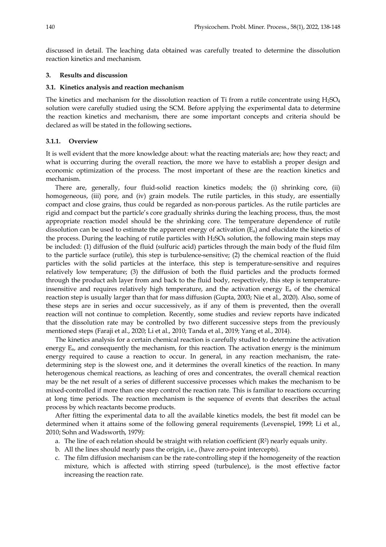discussed in detail. The leaching data obtained was carefully treated to determine the dissolution reaction kinetics and mechanism.

## **3. Results and discussion**

#### **3.1. Kinetics analysis and reaction mechanism**

The kinetics and mechanism for the dissolution reaction of Ti from a rutile concentrate using  $H_2SO_4$ solution were carefully studied using the SCM. Before applying the experimental data to determine the reaction kinetics and mechanism, there are some important concepts and criteria should be declared as will be stated in the following sections**.**

# **3.1.1. Overview**

It is well evident that the more knowledge about: what the reacting materials are; how they react; and what is occurring during the overall reaction, the more we have to establish a proper design and economic optimization of the process. The most important of these are the reaction kinetics and mechanism.

There are, generally, four fluid-solid reaction kinetics models; the (i) shrinking core, (ii) homogeneous, (iii) pore, and (iv) grain models. The rutile particles, in this study, are essentially compact and close grains, thus could be regarded as non-porous particles. As the rutile particles are rigid and compact but the particle's core gradually shrinks during the leaching process, thus, the most appropriate reaction model should be the shrinking core. The temperature dependence of rutile dissolution can be used to estimate the apparent energy of activation  $(E_a)$  and elucidate the kinetics of the process. During the leaching of rutile particles with  $H_2SO_4$  solution, the following main steps may be included: (1) diffusion of the fluid (sulfuric acid) particles through the main body of the fluid film to the particle surface (rutile), this step is turbulence-sensitive; (2) the chemical reaction of the fluid particles with the solid particles at the interface, this step is temperature-sensitive and requires relatively low temperature; (3) the diffusion of both the fluid particles and the products formed through the product ash layer from and back to the fluid body, respectively, this step is temperatureinsensitive and requires relatively high temperature, and the activation energy  $E_a$  of the chemical reaction step is usually larger than that for mass diffusion (Gupta, 2003; Nie et al., 2020). Also, some of these steps are in series and occur successively, as if any of them is prevented, then the overall reaction will not continue to completion. Recently, some studies and review reports have indicated that the dissolution rate may be controlled by two different successive steps from the previously mentioned steps (Faraji et al., 2020; Li et al., 2010; Tanda et al., 2019; Yang et al., 2014).

The kinetics analysis for a certain chemical reaction is carefully studied to determine the activation energy  $E_{\alpha}$ , and consequently the mechanism, for this reaction. The activation energy is the minimum energy required to cause a reaction to occur. In general, in any reaction mechanism, the ratedetermining step is the slowest one, and it determines the overall kinetics of the reaction. In many heterogenous chemical reactions, as leaching of ores and concentrates, the overall chemical reaction may be the net result of a series of different successive processes which makes the mechanism to be mixed-controlled if more than one step control the reaction rate. This is familiar to reactions occurring at long time periods. The reaction mechanism is the sequence of events that describes the actual process by which reactants become products.

After fitting the experimental data to all the available kinetics models, the best fit model can be determined when it attains some of the following general requirements (Levenspiel, 1999; Li et al., 2010; Sohn and Wadsworth, 1979):

- a. The line of each relation should be straight with relation coefficient  $(R^2)$  nearly equals unity.
- b. All the lines should nearly pass the origin, i.e., (have zero-point intercepts).
- c. The film diffusion mechanism can be the rate-controlling step if the homogeneity of the reaction mixture, which is affected with stirring speed (turbulence), is the most effective factor increasing the reaction rate.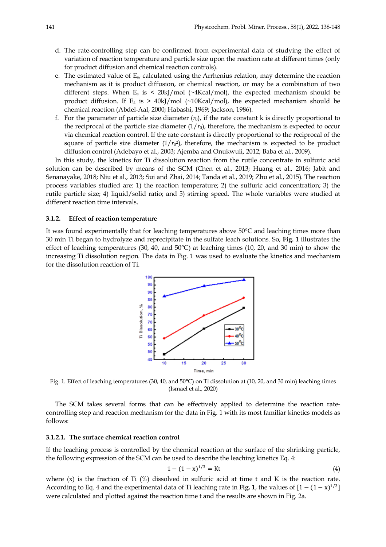- d. The rate-controlling step can be confirmed from experimental data of studying the effect of variation of reaction temperature and particle size upon the reaction rate at different times (only for product diffusion and chemical reaction controls).
- e. The estimated value of  $E_{a}$ , calculated using the Arrhenius relation, may determine the reaction mechanism as it is product diffusion, or chemical reaction, or may be a combination of two different steps. When  $E_a$  is < 20kJ/mol ( $\sim$ 4Kcal/mol), the expected mechanism should be product diffusion. If  $E_a$  is > 40kJ/mol (~10Kcal/mol), the expected mechanism should be chemical reaction (Abdel-Aal, 2000; Habashi, 1969; Jackson, 1986).
- f. For the parameter of particle size diameter  $(r_0)$ , if the rate constant k is directly proportional to the reciprocal of the particle size diameter  $(1/r_0)$ , therefore, the mechanism is expected to occur via chemical reaction control. If the rate constant is directly proportional to the reciprocal of the square of particle size diameter  $(1/r_0^2)$ , therefore, the mechanism is expected to be product diffusion control (Adebayo et al., 2003; Ajemba and Onukwuli, 2012; Baba et al., 2009).

In this study, the kinetics for Ti dissolution reaction from the rutile concentrate in sulfuric acid solution can be described by means of the SCM (Chen et al., 2013; Huang et al., 2016; Jabit and Senanayake, 2018; Niu et al., 2013; Sui and Zhai, 2014; Tanda et al., 2019; Zhu et al., 2015). The reaction process variables studied are: 1) the reaction temperature; 2) the sulfuric acid concentration; 3) the rutile particle size; 4) liquid/solid ratio; and 5) stirring speed. The whole variables were studied at different reaction time intervals.

## **3.1.2. Effect of reaction temperature**

It was found experimentally that for leaching temperatures above 50°C and leaching times more than 30 min Ti began to hydrolyze and reprecipitate in the sulfate leach solutions. So, **Fig. 1** illustrates the effect of leaching temperatures (30, 40, and 50°C) at leaching times (10, 20, and 30 min) to show the increasing Ti dissolution region. The data in Fig. 1 was used to evaluate the kinetics and mechanism for the dissolution reaction of Ti.



Fig. 1. Effect of leaching temperatures (30, 40, and 50°C) on Ti dissolution at (10, 20, and 30 min) leaching times (Ismael et al., 2020)

The SCM takes several forms that can be effectively applied to determine the reaction ratecontrolling step and reaction mechanism for the data in Fig. 1 with its most familiar kinetics models as follows:

## **3.1.2.1. The surface chemical reaction control**

If the leaching process is controlled by the chemical reaction at the surface of the shrinking particle, the following expression of the SCM can be used to describe the leaching kinetics Eq. 4:

$$
1 - (1 - x)^{1/3} = Kt
$$
 (4)

where  $(x)$  is the fraction of Ti  $(\%)$  dissolved in sulfuric acid at time t and K is the reaction rate. According to Eq. 4 and the experimental data of Ti leaching rate in **Fig. 1**, the values of  $[1 - (1 - x)^{1/3}]$ were calculated and plotted against the reaction time t and the results are shown in Fig. 2a.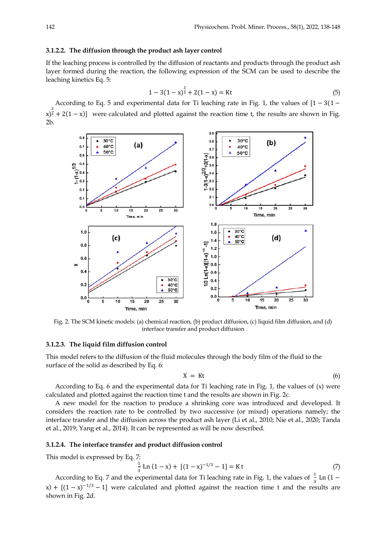#### **3.1.2.2. The diffusion through the product ash layer control**

If the leaching process is controlled by the diffusion of reactants and products through the product ash layer formed during the reaction, the following expression of the SCM can be used to describe the leaching kinetics Eq. 5:

$$
1 - 3(1 - x)^{\frac{2}{3}} + 2(1 - x) = \text{Kt}
$$
 (5)

According to Eq. 5 and experimental data for Ti leaching rate in Fig. 1, the values of [1 − 3(1 −  $\left(x\right)^{\frac{2}{3}} + 2(1-x)$  were calculated and plotted against the reaction time t, the results are shown in Fig. 2b.



Fig. 2. The SCM kinetic models: (a) chemical reaction, (b) product diffusion, (c) liquid film diffusion, and (d) interface transfer and product diffusion

# **3.1.2.3. The liquid film diffusion control**

This model refers to the diffusion of the fluid molecules through the body film of the fluid to the surface of the solid as described by Eq. 6:

$$
X = Kt \tag{6}
$$

According to Eq. 6 and the experimental data for Ti leaching rate in Fig. 1, the values of  $(x)$  were calculated and plotted against the reaction time t and the results are shown in Fig. 2c.

A new model for the reaction to produce a shrinking core was introduced and developed. It considers the reaction rate to be controlled by two successive (or mixed) operations namely; the interface transfer and the diffusion across the product ash layer (Li et al., 2010; Nie et al., 2020; Tanda et al., 2019; Yang et al., 2014). It can be represented as will be now described.

#### **3.1.2.4. The interface transfer and product diffusion control**

This model is expressed by Eq. 7:

$$
\frac{1}{3}\operatorname{Ln}(1-x) + [(1-x)^{-1/3} - 1] = \operatorname{K} t \tag{7}
$$

According to Eq. 7 and the experimental data for Ti leaching rate in Fig. 1, the values of  $\frac{1}{3}$  Ln (1 – x) +  $[(1-x)^{-1/3} - 1]$  were calculated and plotted against the reaction time t and the results are shown in Fig. 2d.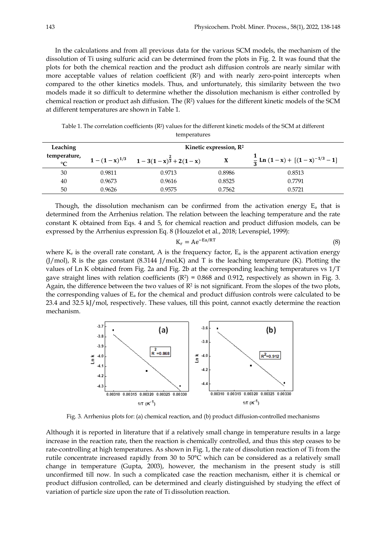In the calculations and from all previous data for the various SCM models, the mechanism of the dissolution of Ti using sulfuric acid can be determined from the plots in Fig. 2. It was found that the plots for both the chemical reaction and the product ash diffusion controls are nearly similar with more acceptable values of relation coefficient  $(R<sup>2</sup>)$  and with nearly zero-point intercepts when compared to the other kinetics models. Thus, and unfortunately, this similarity between the two models made it so difficult to determine whether the dissolution mechanism is either controlled by chemical reaction or product ash diffusion. The  $(R^2)$  values for the different kinetic models of the SCM at different temperatures are shown in Table 1.

Table 1. The correlation coefficients (R2) values for the different kinetic models of the SCM at different temperatures

| Leaching                        | Kinetic expression, R <sup>2</sup> |                                                 |        |                                               |
|---------------------------------|------------------------------------|-------------------------------------------------|--------|-----------------------------------------------|
| temperature,<br>$\rm ^{\circ}C$ |                                    | $1-(1-x)^{1/3}$ $1-3(1-x)^{\frac{2}{3}}+2(1-x)$ | X      | $\frac{1}{2}$ Ln $(1-x) + [(1-x)^{-1/3} - 1]$ |
| 30                              | 0.9811                             | 0.9713                                          | 0.8986 | 0.8513                                        |
| 40                              | 0.9673                             | 0.9616                                          | 0.8525 | 0.7791                                        |
| 50                              | 0.9626                             | 0.9575                                          | 0.7562 | 0.5721                                        |

Though, the dissolution mechanism can be confirmed from the activation energy  $E_a$  that is determined from the Arrhenius relation. The relation between the leaching temperature and the rate constant K obtained from Eqs. 4 and 5, for chemical reaction and product diffusion models, can be expressed by the Arrhenius expression Eq. 8 (Houzelot et al., 2018; Levenspiel, 1999):

$$
K_r = Ae^{-Ea/RT}
$$
 (8)

where  $K_r$  is the overall rate constant, A is the frequency factor,  $E_a$  is the apparent activation energy  $(J/mol)$ , R is the gas constant  $(8.3144 J/mol)$ . And T is the leaching temperature  $(K)$ . Plotting the values of Ln K obtained from Fig. 2a and Fig. 2b at the corresponding leaching temperatures vs 1/T gave straight lines with relation coefficients  $(R^2) = 0.868$  and 0.912, respectively as shown in Fig. 3. Again, the difference between the two values of  $\mathbb{R}^2$  is not significant. From the slopes of the two plots, the corresponding values of  $E_a$  for the chemical and product diffusion controls were calculated to be 23.4 and 32.5 kJ/mol, respectively. These values, till this point, cannot exactly determine the reaction mechanism.



Fig. 3. Arrhenius plots for: (a) chemical reaction, and (b) product diffusion-controlled mechanisms

Although it is reported in literature that if a relatively small change in temperature results in a large increase in the reaction rate, then the reaction is chemically controlled, and thus this step ceases to be rate-controlling at high temperatures. As shown in Fig. 1, the rate of dissolution reaction of Ti from the rutile concentrate increased rapidly from 30 to 50°C which can be considered as a relatively small change in temperature (Gupta, 2003), however, the mechanism in the present study is still unconfirmed till now. In such a complicated case the reaction mechanism, either it is chemical or product diffusion controlled, can be determined and clearly distinguished by studying the effect of variation of particle size upon the rate of Ti dissolution reaction.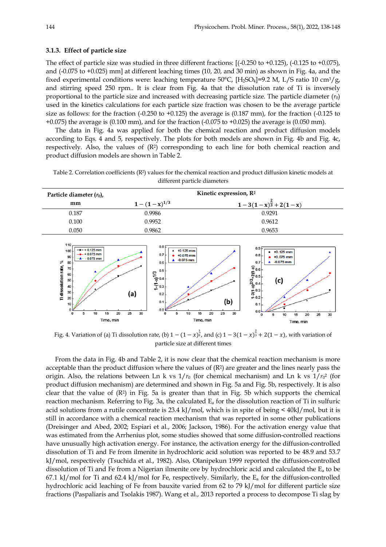## **3.1.3. Effect of particle size**

The effect of particle size was studied in three different fractions: [(-0.250 to +0.125), (-0.125 to +0.075), and (-0.075 to +0.025) mm] at different leaching times (10, 20, and 30 min) as shown in Fig. 4a, and the fixed experimental conditions were: leaching temperature  $50^{\circ}$ C, [H<sub>2</sub>SO<sub>4</sub>]=9.2 M, L/S ratio 10 cm<sup>3</sup>/g, and stirring speed 250 rpm.. It is clear from Fig. 4a that the dissolution rate of Ti is inversely proportional to the particle size and increased with decreasing particle size. The particle diameter  $(r_0)$ used in the kinetics calculations for each particle size fraction was chosen to be the average particle size as follows: for the fraction  $(-0.250 \text{ to } +0.125)$  the average is  $(0.187 \text{ mm})$ , for the fraction  $(-0.125 \text{ to } +0.125)$  $+0.075$ ) the average is  $(0.100 \text{ mm})$ , and for the fraction  $(-0.075 \text{ to } +0.025)$  the average is  $(0.050 \text{ mm})$ .

The data in Fig. 4a was applied for both the chemical reaction and product diffusion models according to Eqs. 4 and 5, respectively. The plots for both models are shown in Fig. 4b and Fig. 4c, respectively. Also, the values of (R2) corresponding to each line for both chemical reaction and product diffusion models are shown in Table 2.



Table 2. Correlation coefficients (R2) values for the chemical reaction and product diffusion kinetic models at different particle diameters

Fig. 4. Variation of (a) Ti dissolution rate, (b)  $1-(1-x)^{\frac{1}{3}}$ , and (c)  $1-3(1-x)^{\frac{2}{3}}+2(1-x)$ , with variation of particle size at different times

From the data in Fig. 4b and Table 2, it is now clear that the chemical reaction mechanism is more acceptable than the product diffusion where the values of  $(R<sup>2</sup>)$  are greater and the lines nearly pass the origin. Also, the relations between Ln k vs  $1/r_0$  (for chemical mechanism) and Ln k vs  $1/r_0^2$  (for product diffusion mechanism) are determined and shown in Fig. 5a and Fig. 5b, respectively. It is also clear that the value of  $(R^2)$  in Fig. 5a is greater than that in Fig. 5b which supports the chemical reaction mechanism. Referring to Fig. 3a, the calculated  $E<sub>a</sub>$  for the dissolution reaction of Ti in sulfuric acid solutions from a rutile concentrate is 23.4 kJ/mol, which is in spite of being < 40kJ/mol, but it is still in accordance with a chemical reaction mechanism that was reported in some other publications (Dreisinger and Abed, 2002; Espiari et al., 2006; Jackson, 1986). For the activation energy value that was estimated from the Arrhenius plot, some studies showed that some diffusion-controlled reactions have unusually high activation energy. For instance, the activation energy for the diffusion-controlled dissolution of Ti and Fe from ilmenite in hydrochloric acid solution was reported to be 48.9 and 53.7 kJ/mol, respectively (Tsuchida et al., 1982). Also, Olanipekun 1999 reported the diffusion-controlled dissolution of Ti and Fe from a Nigerian ilmenite ore by hydrochloric acid and calculated the  $E<sub>a</sub>$  to be 67.1 kJ/mol for Ti and 62.4 kJ/mol for Fe, respectively. Similarly, the  $E_a$  for the diffusion-controlled hydrochloric acid leaching of Fe from bauxite varied from 62 to 79 kJ/mol for different particle size fractions (Paspaliaris and Tsolakis 1987). Wang et al., 2013 reported a process to decompose Ti slag by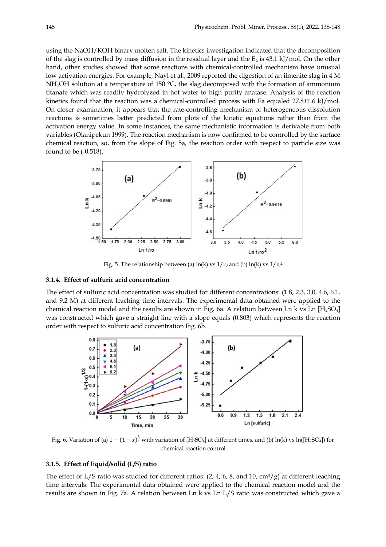using the NaOH/KOH binary molten salt. The kinetics investigation indicated that the decomposition of the slag is controlled by mass diffusion in the residual layer and the  $E_a$  is 43.1 kJ/mol. On the other hand, other studies showed that some reactions with chemical-controlled mechanism have unusual low activation energies. For example, Nayl et al., 2009 reported the digestion of an ilmenite slag in 4 M NH<sub>4</sub>OH solution at a temperature of 150 °C, the slag decomposed with the formation of ammonium titanate which was readily hydrolyzed in hot water to high purity anatase. Analysis of the reaction kinetics found that the reaction was a chemical-controlled process with Ea equaled 27.8±1.6 kJ/mol. On closer examination, it appears that the rate-controlling mechanism of heterogeneous dissolution reactions is sometimes better predicted from plots of the kinetic equations rather than from the activation energy value. In some instances, the same mechanistic information is derivable from both variables (Olanipekun 1999). The reaction mechanism is now confirmed to be controlled by the surface chemical reaction, so, from the slope of Fig. 5a, the reaction order with respect to particle size was found to be (-0.518).



Fig. 5. The relationship between (a)  $ln(k)$  vs  $1/r_0$  and (b)  $ln(k)$  vs  $1/r_0^2$ 

# **3.1.4. Effect of sulfuric acid concentration**

The effect of sulfuric acid concentration was studied for different concentrations: (1.8, 2.3, 3.0, 4.6, 6.1, and 9.2 M) at different leaching time intervals. The experimental data obtained were applied to the chemical reaction model and the results are shown in Fig. 6a. A relation between Ln k vs Ln  $[H_2SO_4]$ was constructed which gave a straight line with a slope equals (0.803) which represents the reaction order with respect to sulfuric acid concentration Fig. 6b.



Fig. 6. Variation of (a)  $1-(1-x)^{\frac{1}{3}}$  with variation of [H<sub>2</sub>SO<sub>4</sub>] at different times, and (b) ln(k) vs ln([H<sub>2</sub>SO<sub>4</sub>]) for chemical reaction control

## **3.1.5. Effect of liquid/solid (L/S) ratio**

The effect of L/S ratio was studied for different ratios:  $(2, 4, 6, 8, \text{ and } 10, \text{ cm}^3/\text{g})$  at different leaching time intervals. The experimental data obtained were applied to the chemical reaction model and the results are shown in Fig. 7a. A relation between Ln k vs Ln L/S ratio was constructed which gave a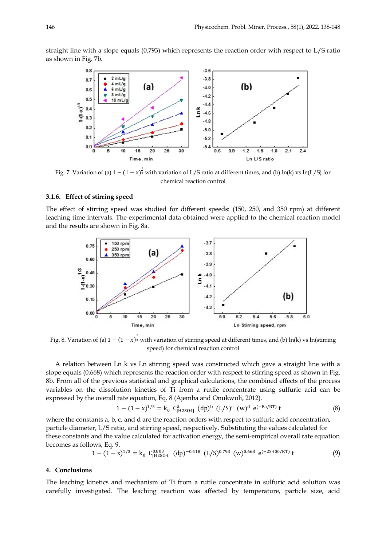straight line with a slope equals (0.793) which represents the reaction order with respect to L/S ratio as shown in Fig. 7b.



Fig. 7. Variation of (a)  $1-(1-x)^{\frac{1}{3}}$  with variation of L/S ratio at different times, and (b) ln(k) vs ln(L/S) for chemical reaction control

# **3.1.6. Effect of stirring speed**

The effect of stirring speed was studied for different speeds: (150, 250, and 350 rpm) at different leaching time intervals. The experimental data obtained were applied to the chemical reaction model and the results are shown in Fig. 8a.



Fig. 8. Variation of (a)  $1 - (1 - x)^{\frac{1}{3}}$  with variation of stirring speed at different times, and (b) ln(k) vs ln(stirring speed) for chemical reaction control

A relation between Ln k vs Ln stirring speed was constructed which gave a straight line with a slope equals (0.668) which represents the reaction order with respect to stirring speed as shown in Fig. 8b. From all of the previous statistical and graphical calculations, the combined effects of the process variables on the dissolution kinetics of Ti from a rutile concentrate using sulfuric acid can be expressed by the overall rate equation, Eq. 8 (Ajemba and Onukwuli, 2012).

$$
1 - (1 - x)^{1/3} = k_0 C_{[H2SO4]}^a (dp)^b (L/S)^c (w)^d e^{(-Ea/RT)} t
$$
 (8)

where the constants a, b, c, and d are the reaction orders with respect to sulfuric acid concentration, particle diameter, L/S ratio, and stirring speed, respectively. Substituting the values calculated for these constants and the value calculated for activation energy, the semi-empirical overall rate equation becomes as follows, Eq. 9.

$$
1 - (1 - x)^{1/3} = k_0 \ C_{[H2SO4]}^{0.803} \ (dp)^{-0.518} \ (L/S)^{0.793} \ (w)^{0.668} \ e^{(-23400/RT)} \ t \tag{9}
$$

#### **4. Conclusions**

The leaching kinetics and mechanism of Ti from a rutile concentrate in sulfuric acid solution was carefully investigated. The leaching reaction was affected by temperature, particle size, acid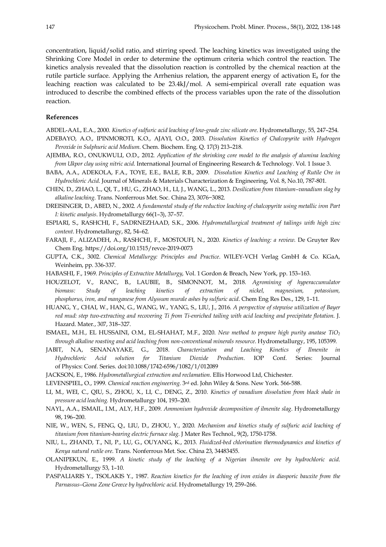concentration, liquid/solid ratio, and stirring speed. The leaching kinetics was investigated using the Shrinking Core Model in order to determine the optimum criteria which control the reaction. The kinetics analysis revealed that the dissolution reaction is controlled by the chemical reaction at the rutile particle surface. Applying the Arrhenius relation, the apparent energy of activation  $E_a$  for the leaching reaction was calculated to be 23.4kJ/mol. A semi-empirical overall rate equation was introduced to describe the combined effects of the process variables upon the rate of the dissolution reaction.

## **References**

ABDEL-AAL, E.A., 2000. *Kinetics of sulfuric acid leaching of low-grade zinc silicate ore*. Hydrometallurgy, 55, 247–254. ADEBAYO, A.O., IPINMOROTI, K.O., AJAYI, O.O., 2003. *Dissolution Kinetics of Chalcopyrite with Hydrogen* 

*Peroxide in Sulphuric acid Medium*. Chem. Biochem. Eng. Q. 17(3) 213–218.

- AJEMBA, R.O., ONUKWULI, O.D., 2012. *Application of the shrinking core model to the analysis of alumina leaching from Ukpor clay using nitric acid*. International Journal of Engineering Research & Technology. Vol. 1 Issue 3.
- BABA, A.A., ADEKOLA, F.A., TOYE, E.E., BALE, R.B., 2009. *Dissolution Kinetics and Leaching of Rutile Ore in Hydrochloric Acid*. Journal of Minerals & Materials Characterization & Engineering, Vol. 8, No.10, 787-801.
- CHEN, D., ZHAO, L., QI, T., HU, G., ZHAO, H., LI, J., WANG, L., 2013. *Desilication from titanium–vanadium slag by alkaline leaching*. Trans. Nonferrous Met. Soc. China 23, 3076−3082.
- DREISINGER, D., ABED, N., 2002. *A fundamental study of the reductive leaching of chalcopyrite using metallic iron Part I: kinetic analysis*. Hydrometallurgy 66(1–3), 37–57.
- ESPIARI, S., RASHCHI, F., SADRNEZHAAD, S.K., 2006. *Hydrometallurgical treatment of tailings with high zinc content*. Hydrometallurgy, 82, 54–62.
- FARAJI, F., ALIZADEH, A., RASHCHI, F., MOSTOUFI, N., 2020. *Kinetics of leaching: a review*. De Gruyter Rev Chem Eng. https://doi.org/10.1515/revce-2019-0073
- GUPTA, C.K., 3002. *Chemical Metallurgy: Principles and Practice*. WILEY-VCH Verlag GmbH & Co. KGaA, Weinheim, pp. 336-337.
- HABASHI, F., 1969. *Principles of Extractive Metallurgy*, Vol. 1 Gordon & Breach, New York, pp. 153–163.
- HOUZELOT, V., RANC, B., LAUBIE, B., SIMONNOT, M., 2018. *Agromining of hyperaccumulator biomass: Study of leaching kinetics of extraction of nickel, magnesium, potassium, phosphorus, iron, and manganese from Alyssum murale ashes by sulfuric acid*. Chem Eng Res Des., 129, 1–11.
- HUANG, Y., CHAI, W., HAN, G., WANG, W., YANG, S., LIU, J., 2016. *A perspective of stepwise utilization of Bayer red mud: step two-extracting and recovering Ti from Ti-enriched tailing with acid leaching and precipitate flotation*. J. Hazard. Mater., 307, 318–327.
- ISMAEL, M.H., EL HUSSAINI, O.M., EL-SHAHAT, M.F., 2020. *New method to prepare high purity anatase TiO2 through alkaline roasting and acid leaching from non-conventional minerals resource*. Hydrometallurgy, 195, 105399.
- JABIT, N.A, SENANAYAKE, G., 2018. *Characterization and Leaching Kinetics of Ilmenite in Hydrochloric Acid solution for Titanium Dioxide Production*. IOP Conf. Series: Journal of Physics: Conf. Series. doi:10.1088/1742-6596/1082/1/012089
- JACKSON, E., 1986. *Hydrometallurgical extraction and reclamation*. Ellis Horwood Ltd, Chichester.
- LEVENSPIEL, O., 1999. *Chemical reaction engineering*. 3rd ed. John Wiley & Sons. New York. 566-588.
- LI, M., WEI, C., QIU, S., ZHOU, X., LI, C., DENG, Z., 2010. *Kinetics of vanadium dissolution from black shale in pressure acid leaching.* Hydrometallurgy 104, 193–200.
- NAYL, A.A., ISMAIL, I.M., ALY, H.F., 2009. *Ammonium hydroxide decomposition of ilmenite slag*. Hydrometallurgy 98, 196–200.
- NIE, W., WEN, S., FENG, Q., LIU, D., ZHOU, Y., 2020. *Mechanism and kinetics study of sulfuric acid leaching of titanium from titanium-bearing electric furnace slag.* J Mater Res Technol., 9(2), 1750-1758.
- NIU, L., ZHAND, T., NI, P., LU, G., OUYANG, K., 2013. *Fluidized-bed chlorination thermodynamics and kinetics of Kenya natural rutile ore*. Trans. Nonferrous Met. Soc. China 23, 34483455.
- OLANIPEKUN, E., 1999. *A kinetic study of the leaching of a Nigerian ilmenite ore by hydrochloric acid*. Hydrometallurgy 53, 1–10.
- PASPALIARIS Y., TSOLAKIS Y., 1987. *Reaction kinetics for the leaching of iron oxides in diasporic bauxite from the Parnassus–Giona Zone Greece by hydrochloric acid*. Hydrometallurgy 19, 259–266.